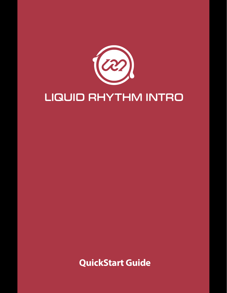

# LIQUID RHYTHM INTRO

**QuickStart Guide**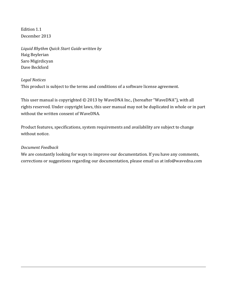Edition 1.1 December 2013

*Liquid Rhythm Quick Start Guide written by* Haig Beylerian Saro Migirdicyan Dave Beckford

#### *Legal Notices*

This product is subject to the terms and conditions of a software license agreement.

This user manual is copyrighted  $\odot$  2013 by WaveDNA Inc., (hereafter "WaveDNA"), with all rights reserved. Under copyright laws, this user manual may not be duplicated in whole or in part without the written consent of WaveDNA.

Product features, specifications, system requirements and availability are subject to change without notice.

#### *Document Feedback*

We are constantly looking for ways to improve our documentation. If you have any comments, corrections or suggestions regarding our documentation, please email us at info@wavedna.com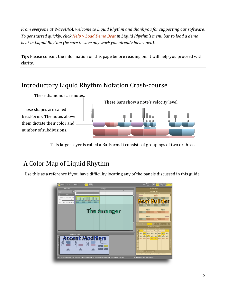*From everyone at WaveDNA, welcome to Liquid Rhythm and thank you for supporting our software.* To get started quickly, click Help > Load Demo Beat in Liquid Rhythm's menu bar to load a demo *beat* in Liquid Rhythm (be sure to save any work you already have open).

**Tip:** Please consult the information on this page before reading on. It will help you proceed with clarity.

### Introductory Liquid Rhythm Notation Crash-course



This larger layer is called a BarForm. It consists of groupings of two or three.

### A Color Map of Liquid Rhythm

Use this as a reference if you have difficulty locating any of the panels discussed in this guide.

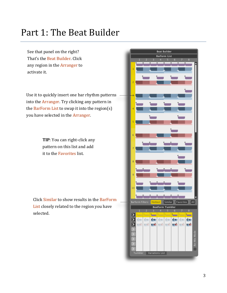## Part 1: The Beat Builder

See that panel on the right? That's the Beat Builder. Click any region in the Arranger to activate it.

Use it to quickly insert one bar rhythm patterns into the Arranger. Try clicking any pattern in the BarForm List to swap it into the region(s) you have selected in the Arranger.

> **TIP**: You can right-click any pattern on this list and add it to the Favorites list.

Click Similar to show results in the BarForm List closely related to the region you have selected. 

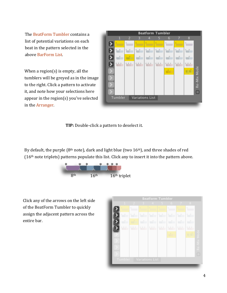The BeatForm Tumbler contains a list of potential variations on each beat in the pattern selected in the above BarForm List. 

When a region(s) is empty, all the tumblers will be greyed as in the image to the right. Click a pattern to activate it, and note how your selections here appear in the region(s) you've selected in the Arranger.



**TIP:** Double-click a pattern to deselect it.

By default, the purple  $(8<sup>th</sup> note)$ , dark and light blue (two  $16<sup>th</sup>$ ), and three shades of red  $(16<sup>th</sup>$  note triplets) patterns populate this list. Click any to insert it into the pattern above.



Click any of the arrows on the left side of the BeatForm Tumbler to quickly assign the adjacent pattern across the entire bar.

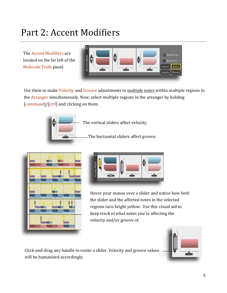## Part 2: Accent Modifiers

The Accent Modifiers are located on the far left of the Molecule Tools panel.



Use them to make Velocity and Groove adjustments to multiple notes within multiple regions in the Arranger simultaneously. Now, select multiple regions in the arranger by holding  $[command]/[ctrl]$  and clicking on them.



The vertical sliders affect velocity.

The horizontal sliders affect groove.





Hover your mouse over a slider and notice how *both* the slider and the affected notes in the selected regions turn bright yellow. Use this visual aid to keep track of what notes you're affecting the velocity and/or groove of.



Click-and-drag any handle to resize a slider. Velocity and groove values will be humanized accordingly.